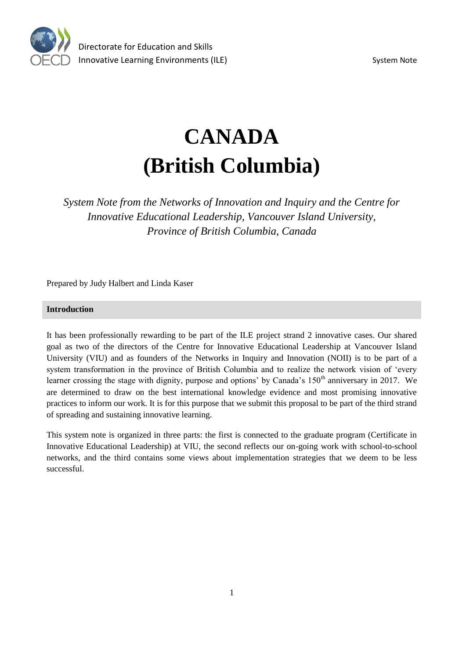

# **CANADA (British Columbia)**

*System Note from the Networks of Innovation and Inquiry and the Centre for Innovative Educational Leadership, Vancouver Island University, Province of British Columbia, Canada*

Prepared by Judy Halbert and Linda Kaser

# **Introduction**

It has been professionally rewarding to be part of the ILE project strand 2 innovative cases. Our shared goal as two of the directors of the Centre for Innovative Educational Leadership at Vancouver Island University (VIU) and as founders of the Networks in Inquiry and Innovation (NOII) is to be part of a system transformation in the province of British Columbia and to realize the network vision of 'every learner crossing the stage with dignity, purpose and options' by Canada's 150<sup>th</sup> anniversary in 2017. We are determined to draw on the best international knowledge evidence and most promising innovative practices to inform our work. It is for this purpose that we submit this proposal to be part of the third strand of spreading and sustaining innovative learning.

This system note is organized in three parts: the first is connected to the graduate program (Certificate in Innovative Educational Leadership) at VIU, the second reflects our on-going work with school-to-school networks, and the third contains some views about implementation strategies that we deem to be less successful.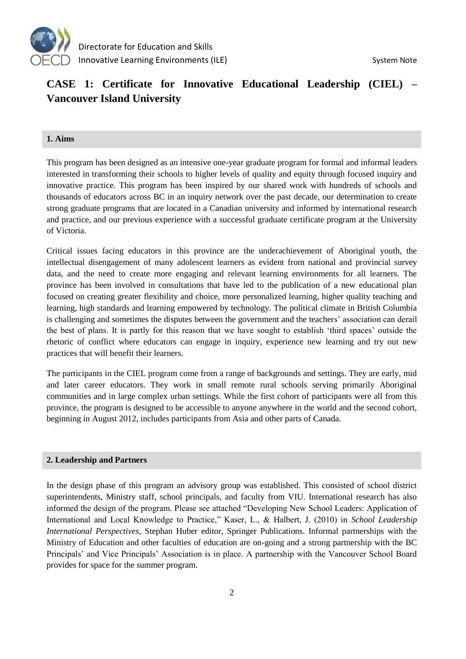

# **CASE 1: Certificate for Innovative Educational Leadership (CIEL) – Vancouver Island University**

# **1. Aims**

This program has been designed as an intensive one-year graduate program for formal and informal leaders interested in transforming their schools to higher levels of quality and equity through focused inquiry and innovative practice. This program has been inspired by our shared work with hundreds of schools and thousands of educators across BC in an inquiry network over the past decade, our determination to create strong graduate programs that are located in a Canadian university and informed by international research and practice, and our previous experience with a successful graduate certificate program at the University of Victoria.

Critical issues facing educators in this province are the underachievement of Aboriginal youth, the intellectual disengagement of many adolescent learners as evident from national and provincial survey data, and the need to create more engaging and relevant learning environments for all learners. The province has been involved in consultations that have led to the publication of a new educational plan focused on creating greater flexibility and choice, more personalized learning, higher quality teaching and learning, high standards and learning empowered by technology. The political climate in British Columbia is challenging and sometimes the disputes between the government and the teachers' association can derail the best of plans. It is partly for this reason that we have sought to establish 'third spaces' outside the rhetoric of conflict where educators can engage in inquiry, experience new learning and try out new practices that will benefit their learners.

The participants in the CIEL program come from a range of backgrounds and settings. They are early, mid and later career educators. They work in small remote rural schools serving primarily Aboriginal communities and in large complex urban settings. While the first cohort of participants were all from this province, the program is designed to be accessible to anyone anywhere in the world and the second cohort, beginning in August 2012, includes participants from Asia and other parts of Canada.

# **2. Leadership and Partners**

In the design phase of this program an advisory group was established. This consisted of school district superintendents, Ministry staff, school principals, and faculty from VIU. International research has also informed the design of the program. Please see attached "Developing New School Leaders: Application of International and Local Knowledge to Practice," Kaser, L., & Halbert, J. (2010) in *School Leadership International Perspectives,* Stephan Huber editor, Springer Publications. Informal partnerships with the Ministry of Education and other faculties of education are on-going and a strong partnership with the BC Principals' and Vice Principals' Association is in place. A partnership with the Vancouver School Board provides for space for the summer program.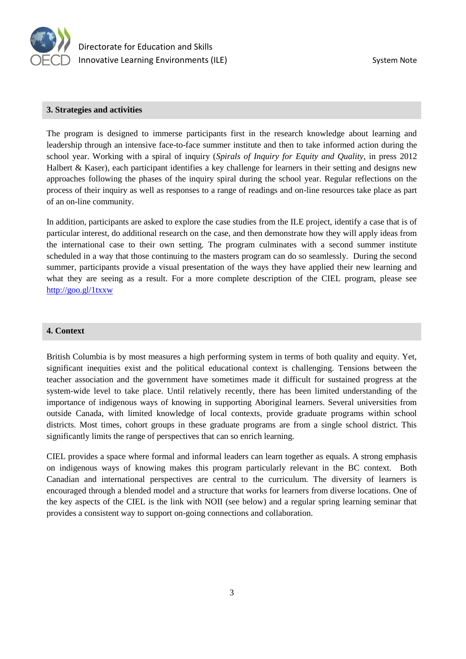

## **3. Strategies and activities**

The program is designed to immerse participants first in the research knowledge about learning and leadership through an intensive face-to-face summer institute and then to take informed action during the school year. Working with a spiral of inquiry (*Spirals of Inquiry for Equity and Quality*, in press 2012 Halbert & Kaser), each participant identifies a key challenge for learners in their setting and designs new approaches following the phases of the inquiry spiral during the school year. Regular reflections on the process of their inquiry as well as responses to a range of readings and on-line resources take place as part of an on-line community.

In addition, participants are asked to explore the case studies from the ILE project, identify a case that is of particular interest, do additional research on the case, and then demonstrate how they will apply ideas from the international case to their own setting. The program culminates with a second summer institute scheduled in a way that those continuing to the masters program can do so seamlessly. During the second summer, participants provide a visual presentation of the ways they have applied their new learning and what they are seeing as a result. For a more complete description of the CIEL program, please see <http://goo.gl/1txxw>

# **4. Context**

British Columbia is by most measures a high performing system in terms of both quality and equity. Yet, significant inequities exist and the political educational context is challenging. Tensions between the teacher association and the government have sometimes made it difficult for sustained progress at the system-wide level to take place. Until relatively recently, there has been limited understanding of the importance of indigenous ways of knowing in supporting Aboriginal learners. Several universities from outside Canada, with limited knowledge of local contexts, provide graduate programs within school districts. Most times, cohort groups in these graduate programs are from a single school district. This significantly limits the range of perspectives that can so enrich learning.

CIEL provides a space where formal and informal leaders can learn together as equals. A strong emphasis on indigenous ways of knowing makes this program particularly relevant in the BC context. Both Canadian and international perspectives are central to the curriculum. The diversity of learners is encouraged through a blended model and a structure that works for learners from diverse locations. One of the key aspects of the CIEL is the link with NOII (see below) and a regular spring learning seminar that provides a consistent way to support on-going connections and collaboration.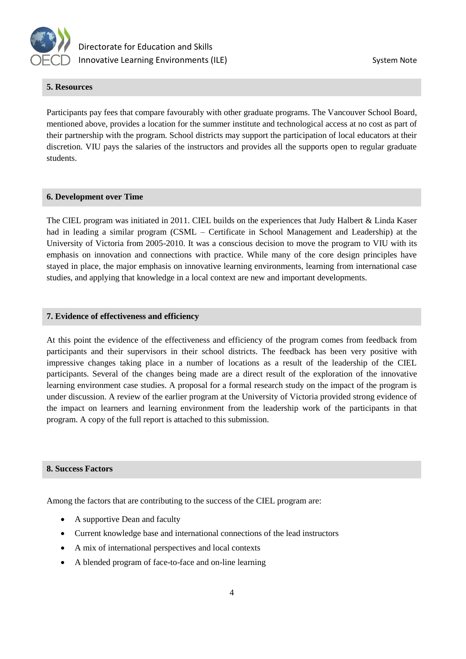

# **5. Resources**

Participants pay fees that compare favourably with other graduate programs. The Vancouver School Board, mentioned above, provides a location for the summer institute and technological access at no cost as part of their partnership with the program. School districts may support the participation of local educators at their discretion. VIU pays the salaries of the instructors and provides all the supports open to regular graduate students.

## **6. Development over Time**

The CIEL program was initiated in 2011. CIEL builds on the experiences that Judy Halbert & Linda Kaser had in leading a similar program (CSML – Certificate in School Management and Leadership) at the University of Victoria from 2005-2010. It was a conscious decision to move the program to VIU with its emphasis on innovation and connections with practice. While many of the core design principles have stayed in place, the major emphasis on innovative learning environments, learning from international case studies, and applying that knowledge in a local context are new and important developments.

## **7. Evidence of effectiveness and efficiency**

At this point the evidence of the effectiveness and efficiency of the program comes from feedback from participants and their supervisors in their school districts. The feedback has been very positive with impressive changes taking place in a number of locations as a result of the leadership of the CIEL participants. Several of the changes being made are a direct result of the exploration of the innovative learning environment case studies. A proposal for a formal research study on the impact of the program is under discussion. A review of the earlier program at the University of Victoria provided strong evidence of the impact on learners and learning environment from the leadership work of the participants in that program. A copy of the full report is attached to this submission.

# **8. Success Factors**

Among the factors that are contributing to the success of the CIEL program are:

- A supportive Dean and faculty
- Current knowledge base and international connections of the lead instructors
- A mix of international perspectives and local contexts
- A blended program of face-to-face and on-line learning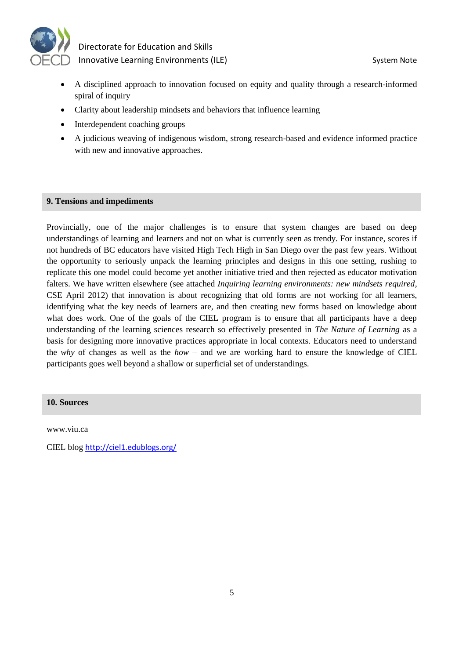

- A disciplined approach to innovation focused on equity and quality through a research-informed spiral of inquiry
- Clarity about leadership mindsets and behaviors that influence learning
- Interdependent coaching groups
- A judicious weaving of indigenous wisdom, strong research-based and evidence informed practice with new and innovative approaches.

## **9. Tensions and impediments**

Provincially, one of the major challenges is to ensure that system changes are based on deep understandings of learning and learners and not on what is currently seen as trendy. For instance, scores if not hundreds of BC educators have visited High Tech High in San Diego over the past few years. Without the opportunity to seriously unpack the learning principles and designs in this one setting, rushing to replicate this one model could become yet another initiative tried and then rejected as educator motivation falters. We have written elsewhere (see attached *Inquiring learning environments: new mindsets required*, CSE April 2012) that innovation is about recognizing that old forms are not working for all learners, identifying what the key needs of learners are, and then creating new forms based on knowledge about what does work. One of the goals of the CIEL program is to ensure that all participants have a deep understanding of the learning sciences research so effectively presented in *The Nature of Learning* as a basis for designing more innovative practices appropriate in local contexts. Educators need to understand the *why* of changes as well as the *how* – and we are working hard to ensure the knowledge of CIEL participants goes well beyond a shallow or superficial set of understandings.

# **10. Sources**

www.viu.ca

CIEL blog <http://ciel1.edublogs.org/>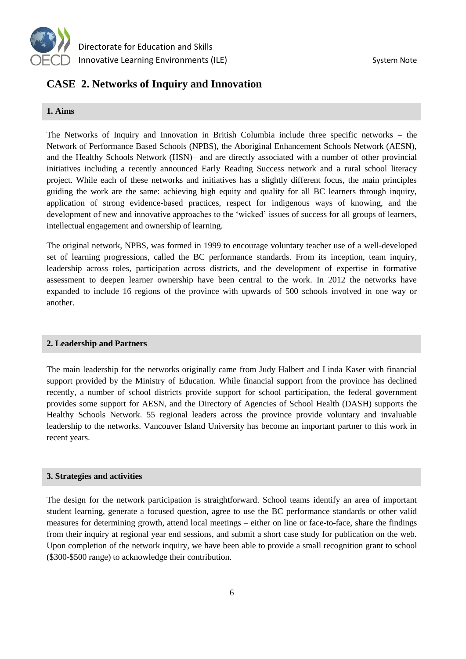

# **CASE 2. Networks of Inquiry and Innovation**

# **1. Aims**

The Networks of Inquiry and Innovation in British Columbia include three specific networks – the Network of Performance Based Schools (NPBS), the Aboriginal Enhancement Schools Network (AESN), and the Healthy Schools Network (HSN)– and are directly associated with a number of other provincial initiatives including a recently announced Early Reading Success network and a rural school literacy project. While each of these networks and initiatives has a slightly different focus, the main principles guiding the work are the same: achieving high equity and quality for all BC learners through inquiry, application of strong evidence-based practices, respect for indigenous ways of knowing, and the development of new and innovative approaches to the 'wicked' issues of success for all groups of learners, intellectual engagement and ownership of learning.

The original network, NPBS, was formed in 1999 to encourage voluntary teacher use of a well-developed set of learning progressions, called the BC performance standards. From its inception, team inquiry, leadership across roles, participation across districts, and the development of expertise in formative assessment to deepen learner ownership have been central to the work. In 2012 the networks have expanded to include 16 regions of the province with upwards of 500 schools involved in one way or another.

# **2. Leadership and Partners**

The main leadership for the networks originally came from Judy Halbert and Linda Kaser with financial support provided by the Ministry of Education. While financial support from the province has declined recently, a number of school districts provide support for school participation, the federal government provides some support for AESN, and the Directory of Agencies of School Health (DASH) supports the Healthy Schools Network. 55 regional leaders across the province provide voluntary and invaluable leadership to the networks. Vancouver Island University has become an important partner to this work in recent years.

# **3. Strategies and activities**

The design for the network participation is straightforward. School teams identify an area of important student learning, generate a focused question, agree to use the BC performance standards or other valid measures for determining growth, attend local meetings – either on line or face-to-face, share the findings from their inquiry at regional year end sessions, and submit a short case study for publication on the web. Upon completion of the network inquiry, we have been able to provide a small recognition grant to school (\$300-\$500 range) to acknowledge their contribution.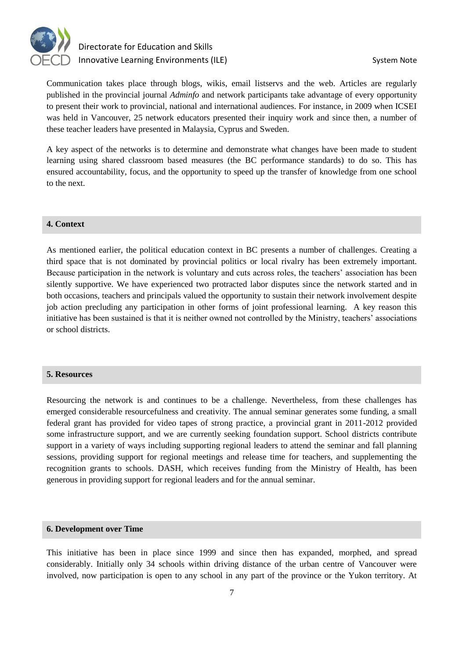

# Directorate for Education and Skills Innovative Learning Environments (ILE) System Note

Communication takes place through blogs, wikis, email listservs and the web. Articles are regularly published in the provincial journal *Adminfo* and network participants take advantage of every opportunity to present their work to provincial, national and international audiences. For instance, in 2009 when ICSEI was held in Vancouver, 25 network educators presented their inquiry work and since then, a number of these teacher leaders have presented in Malaysia, Cyprus and Sweden.

A key aspect of the networks is to determine and demonstrate what changes have been made to student learning using shared classroom based measures (the BC performance standards) to do so. This has ensured accountability, focus, and the opportunity to speed up the transfer of knowledge from one school to the next.

# **4. Context**

As mentioned earlier, the political education context in BC presents a number of challenges. Creating a third space that is not dominated by provincial politics or local rivalry has been extremely important. Because participation in the network is voluntary and cuts across roles, the teachers' association has been silently supportive. We have experienced two protracted labor disputes since the network started and in both occasions, teachers and principals valued the opportunity to sustain their network involvement despite job action precluding any participation in other forms of joint professional learning. A key reason this initiative has been sustained is that it is neither owned not controlled by the Ministry, teachers' associations or school districts.

#### **5. Resources**

Resourcing the network is and continues to be a challenge. Nevertheless, from these challenges has emerged considerable resourcefulness and creativity. The annual seminar generates some funding, a small federal grant has provided for video tapes of strong practice, a provincial grant in 2011-2012 provided some infrastructure support, and we are currently seeking foundation support. School districts contribute support in a variety of ways including supporting regional leaders to attend the seminar and fall planning sessions, providing support for regional meetings and release time for teachers, and supplementing the recognition grants to schools. DASH, which receives funding from the Ministry of Health, has been generous in providing support for regional leaders and for the annual seminar.

#### **6. Development over Time**

This initiative has been in place since 1999 and since then has expanded, morphed, and spread considerably. Initially only 34 schools within driving distance of the urban centre of Vancouver were involved, now participation is open to any school in any part of the province or the Yukon territory. At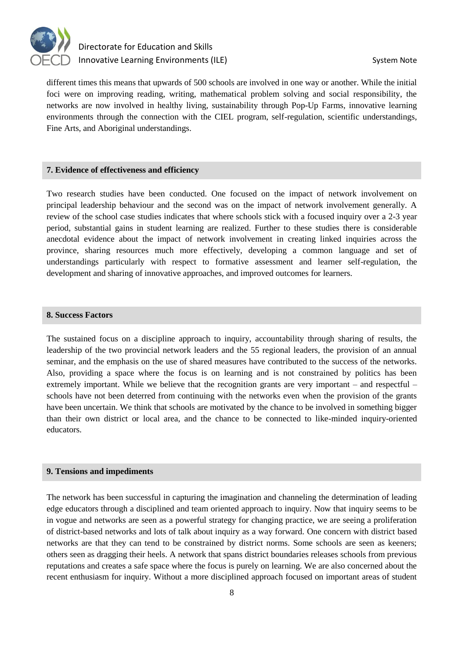

# Directorate for Education and Skills Innovative Learning Environments (ILE) System Note

different times this means that upwards of 500 schools are involved in one way or another. While the initial foci were on improving reading, writing, mathematical problem solving and social responsibility, the networks are now involved in healthy living, sustainability through Pop-Up Farms, innovative learning environments through the connection with the CIEL program, self-regulation, scientific understandings, Fine Arts, and Aboriginal understandings.

# **7. Evidence of effectiveness and efficiency**

Two research studies have been conducted. One focused on the impact of network involvement on principal leadership behaviour and the second was on the impact of network involvement generally. A review of the school case studies indicates that where schools stick with a focused inquiry over a 2-3 year period, substantial gains in student learning are realized. Further to these studies there is considerable anecdotal evidence about the impact of network involvement in creating linked inquiries across the province, sharing resources much more effectively, developing a common language and set of understandings particularly with respect to formative assessment and learner self-regulation, the development and sharing of innovative approaches, and improved outcomes for learners.

# **8. Success Factors**

The sustained focus on a discipline approach to inquiry, accountability through sharing of results, the leadership of the two provincial network leaders and the 55 regional leaders, the provision of an annual seminar, and the emphasis on the use of shared measures have contributed to the success of the networks. Also, providing a space where the focus is on learning and is not constrained by politics has been extremely important. While we believe that the recognition grants are very important – and respectful – schools have not been deterred from continuing with the networks even when the provision of the grants have been uncertain. We think that schools are motivated by the chance to be involved in something bigger than their own district or local area, and the chance to be connected to like-minded inquiry-oriented educators.

#### **9. Tensions and impediments**

The network has been successful in capturing the imagination and channeling the determination of leading edge educators through a disciplined and team oriented approach to inquiry. Now that inquiry seems to be in vogue and networks are seen as a powerful strategy for changing practice, we are seeing a proliferation of district-based networks and lots of talk about inquiry as a way forward. One concern with district based networks are that they can tend to be constrained by district norms. Some schools are seen as keeners; others seen as dragging their heels. A network that spans district boundaries releases schools from previous reputations and creates a safe space where the focus is purely on learning. We are also concerned about the recent enthusiasm for inquiry. Without a more disciplined approach focused on important areas of student